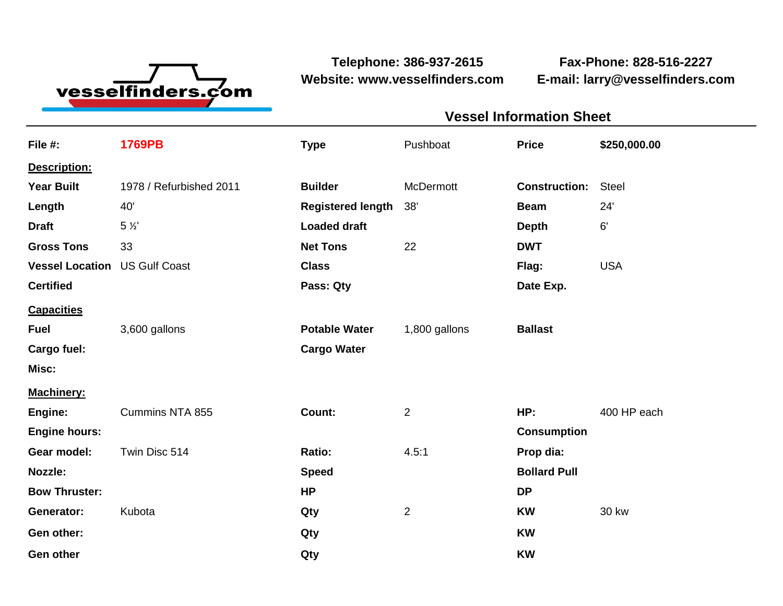

**Website: www.vesselfinders.com E-mail: larry@vesselfinders.com**

**Telephone: 386-937-2615 Fax-Phone: 828-516-2227**

| <b>Vessel Information Sheet</b>                                |  |
|----------------------------------------------------------------|--|
| Pushboat Price \$250,000.00                                    |  |
|                                                                |  |
| <b>Construction: Steel</b>                                     |  |
| Beam 24                                                        |  |
| <b>Depth</b>                                                   |  |
| <b>DWT</b><br>Flag: USA                                        |  |
| Date Exp.                                                      |  |
|                                                                |  |
| Potable Water 1,800 gallons Ballast                            |  |
|                                                                |  |
|                                                                |  |
| Machinery:<br>Engine: Cummins NTA 855 Count: 2 HP: 400 HP each |  |
| <b>Consumption</b>                                             |  |
| Prop dia:                                                      |  |
| <b>Bollard Pull</b>                                            |  |
| KW 30 kw                                                       |  |
|                                                                |  |
|                                                                |  |